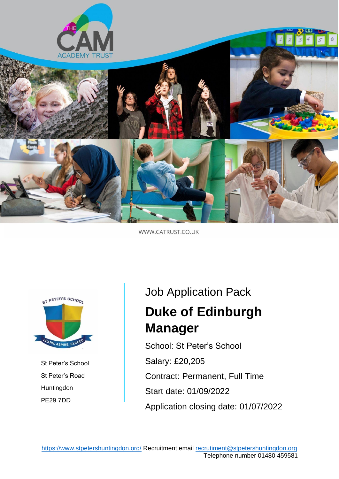

WWW.CATRUST.CO.UK



St Peter's School St Peter's Road **Huntingdon** PE29 7DD

# Job Application Pack **Duke of Edinburgh Manager**

School: St Peter's School Salary: £20,205 Contract: Permanent, Full Time Start date: 01/09/2022 Application closing date: 01/07/2022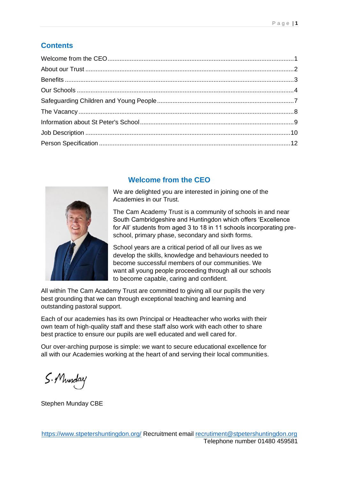## **Contents**



## **Welcome from the CEO**

We are delighted you are interested in joining one of the Academies in our Trust.

The Cam Academy Trust is a community of schools in and near South Cambridgeshire and Huntingdon which offers 'Excellence for All' students from aged 3 to 18 in 11 schools incorporating preschool, primary phase, secondary and sixth forms.

School years are a critical period of all our lives as we develop the skills, knowledge and behaviours needed to become successful members of our communities. We want all young people proceeding through all our schools to become capable, caring and confident.

All within The Cam Academy Trust are committed to giving all our pupils the very best grounding that we can through exceptional teaching and learning and outstanding pastoral support.

Each of our academies has its own Principal or Headteacher who works with their own team of high-quality staff and these staff also work with each other to share best practice to ensure our pupils are well educated and well cared for.

Our over-arching purpose is simple: we want to secure educational excellence for all with our Academies working at the heart of and serving their local communities.

S. Munday

Stephen Munday CBE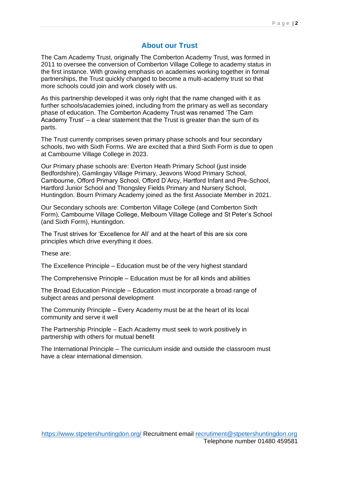#### **About our Trust**

The Cam Academy Trust, originally The Comberton Academy Trust, was formed in 2011 to oversee the conversion of Comberton Village College to academy status in the first instance. With growing emphasis on academies working together in formal partnerships, the Trust quickly changed to become a multi-academy trust so that more schools could join and work closely with us.

As this partnership developed it was only right that the name changed with it as further schools/academies joined, including from the primary as well as secondary phase of education. The Comberton Academy Trust was renamed 'The Cam Academy Trust' – a clear statement that the Trust is greater than the sum of its parts.

The Trust currently comprises seven primary phase schools and four secondary schools, two with Sixth Forms. We are excited that a third Sixth Form is due to open at Cambourne Village College in 2023.

Our Primary phase schools are: Everton Heath Primary School (just inside Bedfordshire), Gamlingay Village Primary, Jeavons Wood Primary School, Cambourne, Offord Primary School, Offord D'Arcy, Hartford Infant and Pre-School, Hartford Junior School and Thongsley Fields Primary and Nursery School, Huntingdon. Bourn Primary Academy joined as the first Associate Member in 2021.

Our Secondary schools are: Comberton Village College (and Comberton Sixth Form), Cambourne Village College, Melbourn Village College and St Peter's School (and Sixth Form), Huntingdon.

The Trust strives for 'Excellence for All' and at the heart of this are six core principles which drive everything it does.

These are:

The Excellence Principle – Education must be of the very highest standard

The Comprehensive Principle – Education must be for all kinds and abilities

The Broad Education Principle – Education must incorporate a broad range of subject areas and personal development

The Community Principle – Every Academy must be at the heart of its local community and serve it well

The Partnership Principle – Each Academy must seek to work positively in partnership with others for mutual benefit

The International Principle – The curriculum inside and outside the classroom must have a clear international dimension.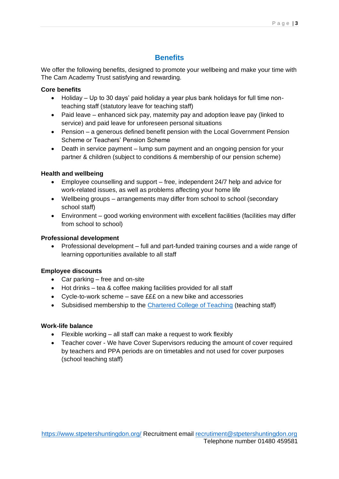#### Page | **3**

## **Benefits**

We offer the following benefits, designed to promote your wellbeing and make your time with The Cam Academy Trust satisfying and rewarding.

#### **Core benefits**

- Holiday Up to 30 days' paid holiday a year plus bank holidays for full time nonteaching staff (statutory leave for teaching staff)
- Paid leave enhanced sick pay, maternity pay and adoption leave pay (linked to service) and paid leave for unforeseen personal situations
- Pension a generous defined benefit pension with the Local Government Pension Scheme or Teachers' Pension Scheme
- Death in service payment lump sum payment and an ongoing pension for your partner & children (subject to conditions & membership of our pension scheme)

#### **Health and wellbeing**

- Employee counselling and support free, independent 24/7 help and advice for work-related issues, as well as problems affecting your home life
- Wellbeing groups arrangements may differ from school to school (secondary school staff)
- Environment good working environment with excellent facilities (facilities may differ from school to school)

#### **Professional development**

• Professional development – full and part-funded training courses and a wide range of learning opportunities available to all staff

#### **Employee discounts**

- Car parking free and on-site
- Hot drinks tea & coffee making facilities provided for all staff
- Cycle-to-work scheme save £££ on a new bike and accessories
- Subsidised membership to the [Chartered College of Teaching](https://eur01.safelinks.protection.outlook.com/?url=https%3A%2F%2Fchartered.college%2F&data=05%7C01%7CJCzylok%40catrust.co.uk%7Cdc233ba9258342ee531108da485372c6%7C7eeaedd6bf3740158fe919fbc2c02d55%7C0%7C0%7C637901820507642099%7CUnknown%7CTWFpbGZsb3d8eyJWIjoiMC4wLjAwMDAiLCJQIjoiV2luMzIiLCJBTiI6Ik1haWwiLCJXVCI6Mn0%3D%7C3000%7C%7C%7C&sdata=P79OPWCSJ%2FgoH2SQtTvELIXtC%2FPypLJ4EOkMkVF3BQY%3D&reserved=0) (teaching staff)

#### **Work-life balance**

- Flexible working all staff can make a request to work flexibly
- Teacher cover We have Cover Supervisors reducing the amount of cover required by teachers and PPA periods are on timetables and not used for cover purposes (school teaching staff)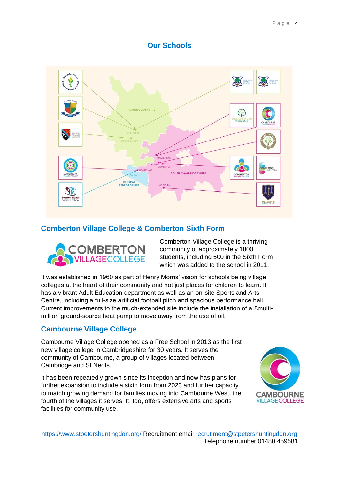## **Our Schools**



## **Comberton Village College & Comberton Sixth Form**



Comberton Village College is a thriving community of approximately 1800 students, including 500 in the Sixth Form which was added to the school in 2011.

It was established in 1960 as part of Henry Morris' vision for schools being village colleges at the heart of their community and not just places for children to learn. It has a vibrant Adult Education department as well as an on-site Sports and Arts Centre, including a full-size artificial football pitch and spacious performance hall. Current improvements to the much-extended site include the installation of a £multimillion ground-source heat pump to move away from the use of oil.

## **Cambourne Village College**

Cambourne Village College opened as a Free School in 2013 as the first new village college in Cambridgeshire for 30 years. It serves the community of Cambourne, a group of villages located between Cambridge and St Neots.

It has been repeatedly grown since its inception and now has plans for further expansion to include a sixth form from 2023 and further capacity to match growing demand for families moving into Cambourne West, the fourth of the villages it serves. It, too, offers extensive arts and sports facilities for community use.

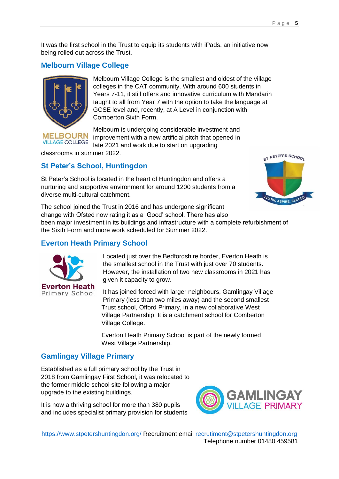It was the first school in the Trust to equip its students with iPads, an initiative now being rolled out across the Trust.

## **Melbourn Village College**



**VILLAGE COLLEGE** 

Melbourn Village College is the smallest and oldest of the village colleges in the CAT community. With around 600 students in Years 7-11, it still offers and innovative curriculum with Mandarin taught to all from Year 7 with the option to take the language at GCSE level and, recently, at A Level in conjunction with Comberton Sixth Form.

Melbourn is undergoing considerable investment and improvement with a new artificial pitch that opened in late 2021 and work due to start on upgrading

classrooms in summer 2022.

### **St Peter's School, Huntingdon**

St Peter's School is located in the heart of Huntingdon and offers a nurturing and supportive environment for around 1200 students from a diverse multi-cultural catchment.



The school joined the Trust in 2016 and has undergone significant change with Ofsted now rating it as a 'Good' school. There has also been major investment in its buildings and infrastructure with a complete refurbishment of

the Sixth Form and more work scheduled for Summer 2022.

## **Everton Heath Primary School**



Located just over the Bedfordshire border, Everton Heath is the smallest school in the Trust with just over 70 students. However, the installation of two new classrooms in 2021 has given it capacity to grow.

It has joined forced with larger neighbours, Gamlingay Village Primary (less than two miles away) and the second smallest Trust school, Offord Primary, in a new collaborative West Village Partnership. It is a catchment school for Comberton Village College.

Everton Heath Primary School is part of the newly formed West Village Partnership.

#### **Gamlingay Village Primary**

Established as a full primary school by the Trust in 2018 from Gamlingay First School, it was relocated to the former middle school site following a major upgrade to the existing buildings.

It is now a thriving school for more than 380 pupils and includes specialist primary provision for students

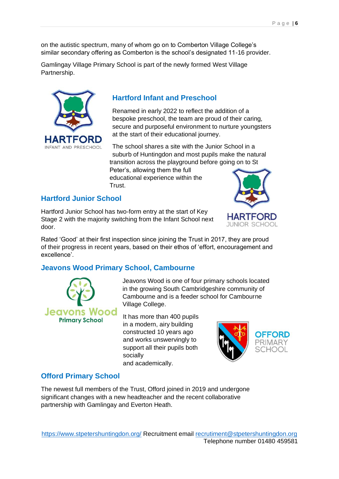on the autistic spectrum, many of whom go on to Comberton Village College's similar secondary offering as Comberton is the school's designated 11-16 provider.

Gamlingay Village Primary School is part of the newly formed West Village Partnership.



## **Hartford Infant and Preschool**

Renamed in early 2022 to reflect the addition of a bespoke preschool, the team are proud of their caring, secure and purposeful environment to nurture youngsters at the start of their educational journey.

The school shares a site with the Junior School in a suburb of Huntingdon and most pupils make the natural transition across the playground before going on to St Peter's, allowing them the full educational experience within the

**Hartford Junior School**

Hartford Junior School has two-form entry at the start of Key Stage 2 with the majority switching from the Infant School next door.

Trust.

Rated 'Good' at their first inspection since joining the Trust in 2017, they are proud of their progress in recent years, based on their ethos of 'effort, encouragement and excellence'.

## **Jeavons Wood Primary School, Cambourne**



Jeavons Wood is one of four primary schools located in the growing South Cambridgeshire community of Cambourne and is a feeder school for Cambourne Village College.

It has more than 400 pupils in a modern, airy building constructed 10 years ago and works unswervingly to support all their pupils both socially and academically.



## **Offord Primary School**

The newest full members of the Trust, Offord joined in 2019 and undergone significant changes with a new headteacher and the recent collaborative partnership with Gamlingay and Everton Heath.

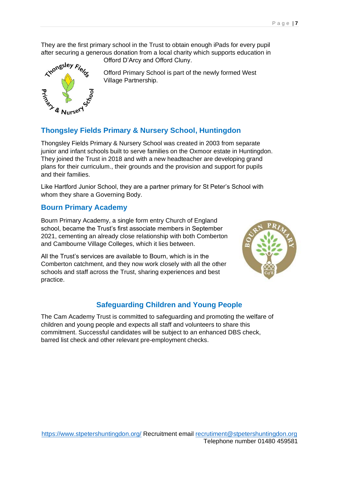They are the first primary school in the Trust to obtain enough iPads for every pupil after securing a generous donation from a local charity which supports education in



Offord D'Arcy and Offord Cluny.

Offord Primary School is part of the newly formed West Village Partnership.

## **Thongsley Fields Primary & Nursery School, Huntingdon**

Thongsley Fields Primary & Nursery School was created in 2003 from separate junior and infant schools built to serve families on the Oxmoor estate in Huntingdon. They joined the Trust in 2018 and with a new headteacher are developing grand plans for their curriculum., their grounds and the provision and support for pupils and their families.

Like Hartford Junior School, they are a partner primary for St Peter's School with whom they share a Governing Body.

#### **Bourn Primary Academy**

Bourn Primary Academy, a single form entry Church of England school, became the Trust's first associate members in September 2021, cementing an already close relationship with both Comberton and Cambourne Village Colleges, which it lies between.

All the Trust's services are available to Bourn, which is in the Comberton catchment, and they now work closely with all the other schools and staff across the Trust, sharing experiences and best practice.



## **Safeguarding Children and Young People**

The Cam Academy Trust is committed to safeguarding and promoting the welfare of children and young people and expects all staff and volunteers to share this commitment. Successful candidates will be subject to an enhanced DBS check, barred list check and other relevant pre-employment checks.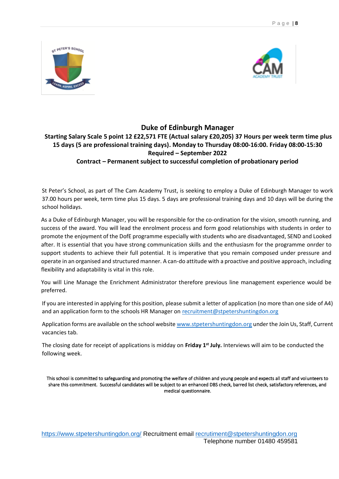



#### **Duke of Edinburgh Manager**

## **Starting Salary Scale 5 point 12 £22,571 FTE (Actual salary £20,205) 37 Hours per week term time plus 15 days (5 are professional training days). Monday to Thursday 08:00-16:00. Friday 08:00-15:30 Required – September 2022**

**Contract – Permanent subject to successful completion of probationary period** 

St Peter's School, as part of The Cam Academy Trust, is seeking to employ a Duke of Edinburgh Manager to work 37.00 hours per week, term time plus 15 days. 5 days are professional training days and 10 days will be during the school holidays.

As a Duke of Edinburgh Manager, you will be responsible for the co-ordination for the vision, smooth running, and success of the award. You will lead the enrolment process and form good relationships with students in order to promote the enjoyment of the DofE programme especially with students who are disadvantaged, SEND and Looked after. It is essential that you have strong communication skills and the enthusiasm for the programme onrder to support students to achieve their full potential. It is imperative that you remain composed under pressure and operate in an organised and structured manner. A can-do attitude with a proactive and positive approach, including flexibility and adaptability is vital in this role.

You will Line Manage the Enrichment Administrator therefore previous line management experience would be preferred.

If you are interested in applying for this position, please submit a letter of application (no more than one side of A4) and an application form to the schools HR Manager on [recruitment@stpetershuntingdon.org](mailto:recruitment@stpetershuntingdon.org)

Application forms are available on the school website www.stpetershuntingdon.org under the Join Us, Staff, Current vacancies tab.

The closing date for receipt of applications is midday on **Friday 1 st July.** Interviews will aim to be conducted the following week.

This school is committed to safeguarding and promoting the welfare of children and young people and expects all staff and volunteers to share this commitment. Successful candidates will be subject to an enhanced DBS check, barred list check, satisfactory references, and medical questionnaire.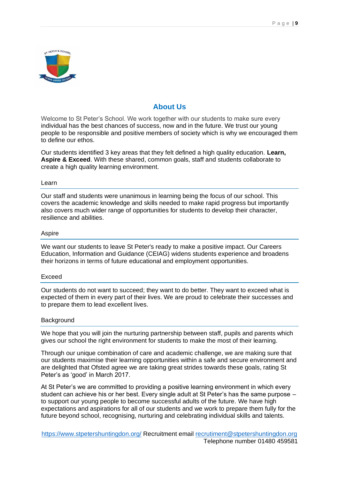

### **About Us**

Welcome to St Peter's School. We work together with our students to make sure every individual has the best chances of success, now and in the future. We trust our young people to be responsible and positive members of society which is why we encouraged them to define our ethos.

Our students identified 3 key areas that they felt defined a high quality education. **Learn, Aspire & Exceed**. With these shared, common goals, staff and students collaborate to create a high quality learning environment.

#### Learn

Our staff and students were unanimous in learning being the focus of our school. This covers the academic knowledge and skills needed to make rapid progress but importantly also covers much wider range of opportunities for students to develop their character, resilience and abilities.

#### Aspire

We want our students to leave St Peter's ready to make a positive impact. Our Careers Education, Information and Guidance (CEIAG) widens students experience and broadens their horizons in terms of future educational and employment opportunities.

#### Exceed

Our students do not want to succeed; they want to do better. They want to exceed what is expected of them in every part of their lives. We are proud to celebrate their successes and to prepare them to lead excellent lives.

#### Background

We hope that you will join the nurturing partnership between staff, pupils and parents which gives our school the right environment for students to make the most of their learning.

Through our unique combination of care and academic challenge, we are making sure that our students maximise their learning opportunities within a safe and secure environment and are delighted that Ofsted agree we are taking great strides towards these goals, rating St Peter's as 'good' in March 2017.

At St Peter's we are committed to providing a positive learning environment in which every student can achieve his or her best. Every single adult at St Peter's has the same purpose – to support our young people to become successful adults of the future. We have high expectations and aspirations for all of our students and we work to prepare them fully for the future beyond school, recognising, nurturing and celebrating individual skills and talents.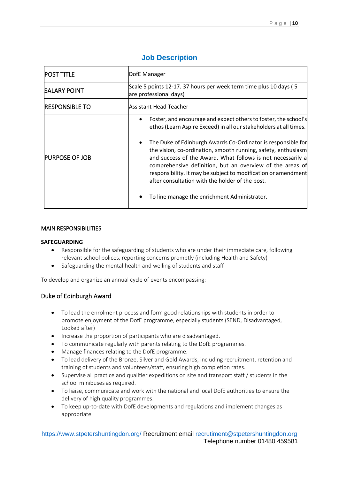| <b>POST TITLE</b>      | DofE Manager<br>Scale 5 points 12-17. 37 hours per week term time plus 10 days (5<br>are professional days)                                                                                                                                                                                                                                                                                                                                                                                                                                                            |  |  |  |
|------------------------|------------------------------------------------------------------------------------------------------------------------------------------------------------------------------------------------------------------------------------------------------------------------------------------------------------------------------------------------------------------------------------------------------------------------------------------------------------------------------------------------------------------------------------------------------------------------|--|--|--|
| <b>SALARY POINT</b>    |                                                                                                                                                                                                                                                                                                                                                                                                                                                                                                                                                                        |  |  |  |
| <b>IRESPONSIBLE TO</b> | Assistant Head Teacher                                                                                                                                                                                                                                                                                                                                                                                                                                                                                                                                                 |  |  |  |
| <b>PURPOSE OF JOB</b>  | Foster, and encourage and expect others to foster, the school's<br>ethos (Learn Aspire Exceed) in all our stakeholders at all times.<br>The Duke of Edinburgh Awards Co-Ordinator is responsible for<br>the vision, co-ordination, smooth running, safety, enthusiasm<br>and success of the Award. What follows is not necessarily a<br>comprehensive definition, but an overview of the areas of<br>responsibility. It may be subject to modification or amendment<br>after consultation with the holder of the post.<br>To line manage the enrichment Administrator. |  |  |  |

## **Job Description**

#### MAIN RESPONSIBILITIES

#### **SAFEGUARDING**

- Responsible for the safeguarding of students who are under their immediate care, following relevant school polices, reporting concerns promptly (including Health and Safety)
- Safeguarding the mental health and welling of students and staff

To develop and organize an annual cycle of events encompassing:

#### Duke of Edinburgh Award

- To lead the enrolment process and form good relationships with students in order to promote enjoyment of the DofE programme, especially students (SEND, Disadvantaged, Looked after)
- Increase the proportion of participants who are disadvantaged.
- To communicate regularly with parents relating to the DofE programmes.
- Manage finances relating to the DofE programme.
- To lead delivery of the Bronze, Silver and Gold Awards, including recruitment, retention and training of students and volunteers/staff, ensuring high completion rates.
- Supervise all practice and qualifier expeditions on site and transport staff / students in the school minibuses as required.
- To liaise, communicate and work with the national and local DofE authorities to ensure the delivery of high quality programmes.
- To keep up-to-date with DofE developments and regulations and implement changes as appropriate.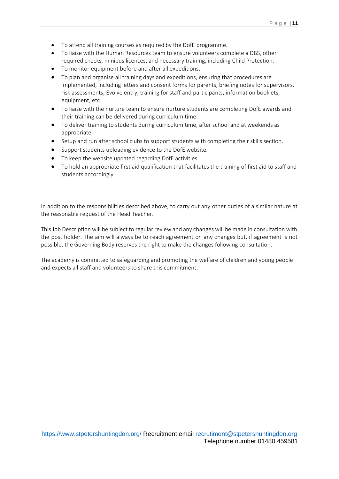- To attend all training courses as required by the DofE programme.
- To liaise with the Human Resources team to ensure volunteers complete a DBS, other required checks, minibus licences, and necessary training, including Child Protection.
- To monitor equipment before and after all expeditions.
- To plan and organise all training days and expeditions, ensuring that procedures are implemented, including letters and consent forms for parents, briefing notes for supervisors, risk assessments, Evolve entry, training for staff and participants, information booklets, equipment, etc
- To liaise with the nurture team to ensure nurture students are completing DofE awards and their training can be delivered during curriculum time.
- To deliver training to students during curriculum time, after school and at weekends as appropriate.
- Setup and run after school clubs to support students with completing their skills section.
- Support students uploading evidence to the DofE website.
- To keep the website updated regarding DofE activities
- To hold an appropriate first aid qualification that facilitates the training of first aid to staff and students accordingly.

In addition to the responsibilities described above, to carry out any other duties of a similar nature at the reasonable request of the Head Teacher.

This Job Description will be subject to regular review and any changes will be made in consultation with the post holder. The aim will always be to reach agreement on any changes but, if agreement is not possible, the Governing Body reserves the right to make the changes following consultation.

The academy is committed to safeguarding and promoting the welfare of children and young people and expects all staff and volunteers to share this commitment.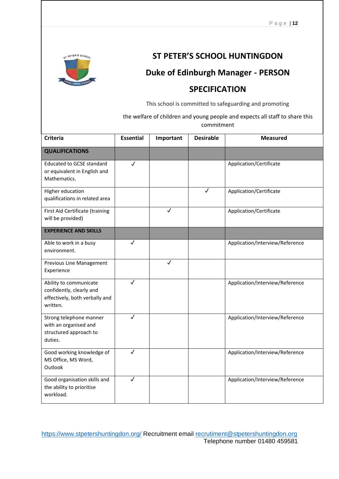

# **ST PETER'S SCHOOL HUNTINGDON**

# **Duke of Edinburgh Manager - PERSON**

# **SPECIFICATION**

This school is committed to safeguarding and promoting

the welfare of children and young people and expects all staff to share this commitment

| <b>Criteria</b>                                                                                  | <b>Essential</b> | Important    | <b>Desirable</b> | <b>Measured</b>                 |
|--------------------------------------------------------------------------------------------------|------------------|--------------|------------------|---------------------------------|
| <b>QUALIFICATIONS</b>                                                                            |                  |              |                  |                                 |
| <b>Educated to GCSE standard</b><br>or equivalent in English and<br>Mathematics.                 | $\checkmark$     |              |                  | Application/Certificate         |
| Higher education<br>qualifications in related area                                               |                  |              | $\checkmark$     | Application/Certificate         |
| First Aid Certificate (training<br>will be provided)                                             |                  | $\checkmark$ |                  | Application/Certificate         |
| <b>EXPERIENCE AND SKILLS</b>                                                                     |                  |              |                  |                                 |
| Able to work in a busy<br>environment.                                                           | √                |              |                  | Application/Interview/Reference |
| Previous Line Management<br>Experience                                                           |                  | $\checkmark$ |                  |                                 |
| Ability to communicate<br>confidently, clearly and<br>effectively, both verbally and<br>written. | $\checkmark$     |              |                  | Application/Interview/Reference |
| Strong telephone manner<br>with an organised and<br>structured approach to<br>duties.            | $\checkmark$     |              |                  | Application/Interview/Reference |
| Good working knowledge of<br>MS Office, MS Word,<br>Outlook                                      | $\checkmark$     |              |                  | Application/Interview/Reference |
| Good organisation skills and<br>the ability to prioritise<br>workload.                           | √                |              |                  | Application/Interview/Reference |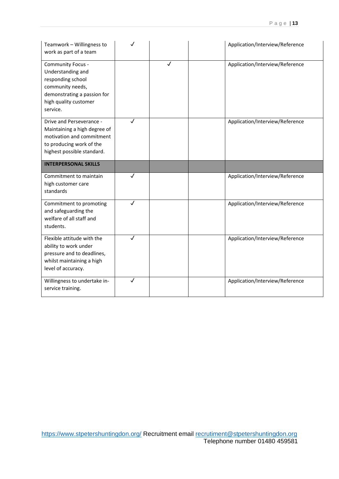| Teamwork - Willingness to<br>work as part of a team                                                                                                 | J                       |              | Application/Interview/Reference |
|-----------------------------------------------------------------------------------------------------------------------------------------------------|-------------------------|--------------|---------------------------------|
| Community Focus -<br>Understanding and<br>responding school<br>community needs,<br>demonstrating a passion for<br>high quality customer<br>service. |                         | $\checkmark$ | Application/Interview/Reference |
| Drive and Perseverance -<br>Maintaining a high degree of<br>motivation and commitment<br>to producing work of the<br>highest possible standard.     | $\overline{\checkmark}$ |              | Application/Interview/Reference |
| <b>INTERPERSONAL SKILLS</b>                                                                                                                         |                         |              |                                 |
| Commitment to maintain<br>high customer care<br>standards                                                                                           | ✓                       |              | Application/Interview/Reference |
|                                                                                                                                                     |                         |              |                                 |
| Commitment to promoting<br>and safeguarding the<br>welfare of all staff and<br>students.                                                            | $\overline{\checkmark}$ |              | Application/Interview/Reference |
| Flexible attitude with the<br>ability to work under<br>pressure and to deadlines,<br>whilst maintaining a high<br>level of accuracy.                | $\overline{\checkmark}$ |              | Application/Interview/Reference |